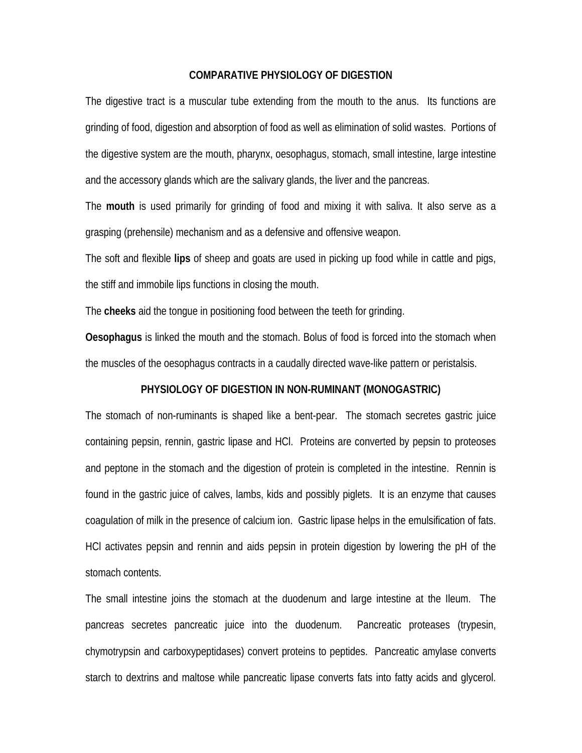### **COMPARATIVE PHYSIOLOGY OF DIGESTION**

The digestive tract is a muscular tube extending from the mouth to the anus. Its functions are grinding of food, digestion and absorption of food as well as elimination of solid wastes. Portions of the digestive system are the mouth, pharynx, oesophagus, stomach, small intestine, large intestine and the accessory glands which are the salivary glands, the liver and the pancreas.

The **mouth** is used primarily for grinding of food and mixing it with saliva. It also serve as a grasping (prehensile) mechanism and as a defensive and offensive weapon.

The soft and flexible **lips** of sheep and goats are used in picking up food while in cattle and pigs, the stiff and immobile lips functions in closing the mouth.

The **cheeks** aid the tongue in positioning food between the teeth for grinding.

**Oesophagus** is linked the mouth and the stomach. Bolus of food is forced into the stomach when the muscles of the oesophagus contracts in a caudally directed wave-like pattern or peristalsis.

## **PHYSIOLOGY OF DIGESTION IN NON-RUMINANT (MONOGASTRIC)**

The stomach of non-ruminants is shaped like a bent-pear. The stomach secretes gastric juice containing pepsin, rennin, gastric lipase and HCl. Proteins are converted by pepsin to proteoses and peptone in the stomach and the digestion of protein is completed in the intestine. Rennin is found in the gastric juice of calves, lambs, kids and possibly piglets. It is an enzyme that causes coagulation of milk in the presence of calcium ion. Gastric lipase helps in the emulsification of fats. HCl activates pepsin and rennin and aids pepsin in protein digestion by lowering the pH of the stomach contents.

The small intestine joins the stomach at the duodenum and large intestine at the Ileum. The pancreas secretes pancreatic juice into the duodenum. Pancreatic proteases (trypesin, chymotrypsin and carboxypeptidases) convert proteins to peptides. Pancreatic amylase converts starch to dextrins and maltose while pancreatic lipase converts fats into fatty acids and glycerol.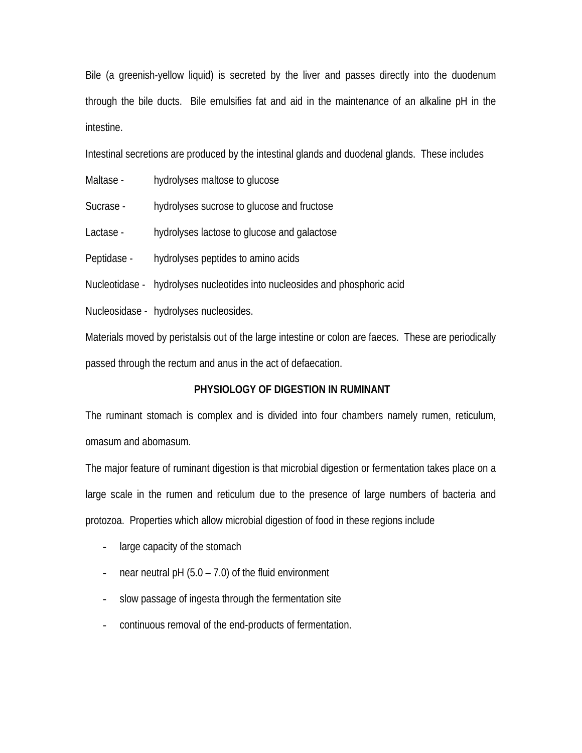Bile (a greenish-yellow liquid) is secreted by the liver and passes directly into the duodenum through the bile ducts. Bile emulsifies fat and aid in the maintenance of an alkaline pH in the intestine.

Intestinal secretions are produced by the intestinal glands and duodenal glands. These includes

Maltase - hydrolyses maltose to glucose

Sucrase - hydrolyses sucrose to glucose and fructose

Lactase - hydrolyses lactose to glucose and galactose

Peptidase - hydrolyses peptides to amino acids

Nucleotidase - hydrolyses nucleotides into nucleosides and phosphoric acid

Nucleosidase - hydrolyses nucleosides.

Materials moved by peristalsis out of the large intestine or colon are faeces. These are periodically passed through the rectum and anus in the act of defaecation.

# **PHYSIOLOGY OF DIGESTION IN RUMINANT**

The ruminant stomach is complex and is divided into four chambers namely rumen, reticulum, omasum and abomasum.

The major feature of ruminant digestion is that microbial digestion or fermentation takes place on a large scale in the rumen and reticulum due to the presence of large numbers of bacteria and protozoa. Properties which allow microbial digestion of food in these regions include

- large capacity of the stomach
- near neutral pH (5.0 7.0) of the fluid environment
- slow passage of ingesta through the fermentation site
- continuous removal of the end-products of fermentation.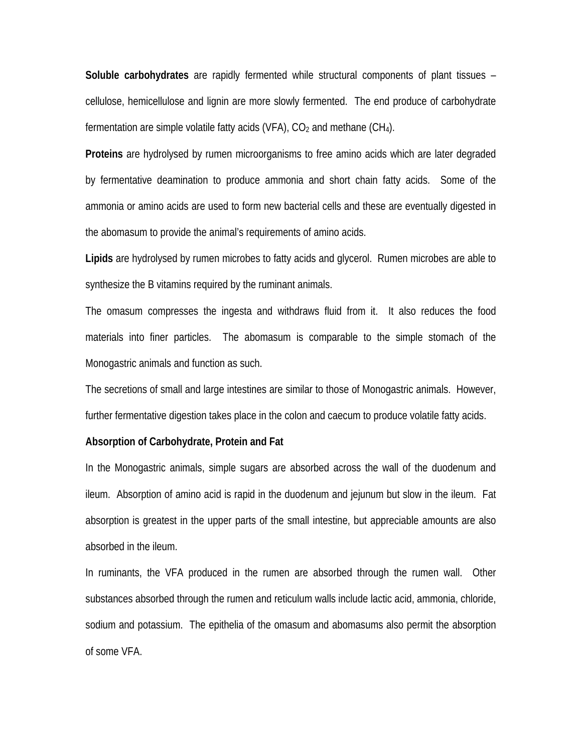**Soluble carbohydrates** are rapidly fermented while structural components of plant tissues – cellulose, hemicellulose and lignin are more slowly fermented. The end produce of carbohydrate fermentation are simple volatile fatty acids (VFA),  $CO<sub>2</sub>$  and methane (CH<sub>4</sub>).

**Proteins** are hydrolysed by rumen microorganisms to free amino acids which are later degraded by fermentative deamination to produce ammonia and short chain fatty acids. Some of the ammonia or amino acids are used to form new bacterial cells and these are eventually digested in the abomasum to provide the animal's requirements of amino acids.

**Lipids** are hydrolysed by rumen microbes to fatty acids and glycerol. Rumen microbes are able to synthesize the B vitamins required by the ruminant animals.

The omasum compresses the ingesta and withdraws fluid from it. It also reduces the food materials into finer particles. The abomasum is comparable to the simple stomach of the Monogastric animals and function as such.

The secretions of small and large intestines are similar to those of Monogastric animals. However, further fermentative digestion takes place in the colon and caecum to produce volatile fatty acids.

#### **Absorption of Carbohydrate, Protein and Fat**

In the Monogastric animals, simple sugars are absorbed across the wall of the duodenum and ileum. Absorption of amino acid is rapid in the duodenum and jejunum but slow in the ileum. Fat absorption is greatest in the upper parts of the small intestine, but appreciable amounts are also absorbed in the ileum.

In ruminants, the VFA produced in the rumen are absorbed through the rumen wall. Other substances absorbed through the rumen and reticulum walls include lactic acid, ammonia, chloride, sodium and potassium. The epithelia of the omasum and abomasums also permit the absorption of some VFA.